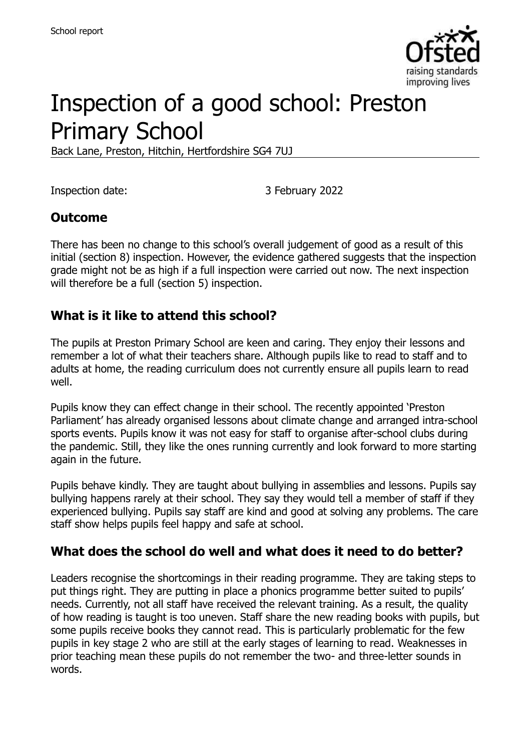

# Inspection of a good school: Preston Primary School

Back Lane, Preston, Hitchin, Hertfordshire SG4 7UJ

Inspection date: 3 February 2022

#### **Outcome**

There has been no change to this school's overall judgement of good as a result of this initial (section 8) inspection. However, the evidence gathered suggests that the inspection grade might not be as high if a full inspection were carried out now. The next inspection will therefore be a full (section 5) inspection.

#### **What is it like to attend this school?**

The pupils at Preston Primary School are keen and caring. They enjoy their lessons and remember a lot of what their teachers share. Although pupils like to read to staff and to adults at home, the reading curriculum does not currently ensure all pupils learn to read well.

Pupils know they can effect change in their school. The recently appointed 'Preston Parliament' has already organised lessons about climate change and arranged intra-school sports events. Pupils know it was not easy for staff to organise after-school clubs during the pandemic. Still, they like the ones running currently and look forward to more starting again in the future.

Pupils behave kindly. They are taught about bullying in assemblies and lessons. Pupils say bullying happens rarely at their school. They say they would tell a member of staff if they experienced bullying. Pupils say staff are kind and good at solving any problems. The care staff show helps pupils feel happy and safe at school.

#### **What does the school do well and what does it need to do better?**

Leaders recognise the shortcomings in their reading programme. They are taking steps to put things right. They are putting in place a phonics programme better suited to pupils' needs. Currently, not all staff have received the relevant training. As a result, the quality of how reading is taught is too uneven. Staff share the new reading books with pupils, but some pupils receive books they cannot read. This is particularly problematic for the few pupils in key stage 2 who are still at the early stages of learning to read. Weaknesses in prior teaching mean these pupils do not remember the two- and three-letter sounds in words.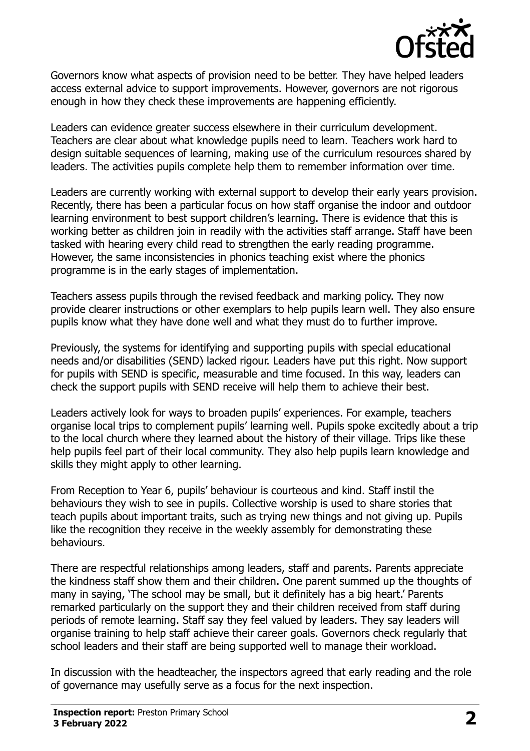

Governors know what aspects of provision need to be better. They have helped leaders access external advice to support improvements. However, governors are not rigorous enough in how they check these improvements are happening efficiently.

Leaders can evidence greater success elsewhere in their curriculum development. Teachers are clear about what knowledge pupils need to learn. Teachers work hard to design suitable sequences of learning, making use of the curriculum resources shared by leaders. The activities pupils complete help them to remember information over time.

Leaders are currently working with external support to develop their early years provision. Recently, there has been a particular focus on how staff organise the indoor and outdoor learning environment to best support children's learning. There is evidence that this is working better as children join in readily with the activities staff arrange. Staff have been tasked with hearing every child read to strengthen the early reading programme. However, the same inconsistencies in phonics teaching exist where the phonics programme is in the early stages of implementation.

Teachers assess pupils through the revised feedback and marking policy. They now provide clearer instructions or other exemplars to help pupils learn well. They also ensure pupils know what they have done well and what they must do to further improve.

Previously, the systems for identifying and supporting pupils with special educational needs and/or disabilities (SEND) lacked rigour. Leaders have put this right. Now support for pupils with SEND is specific, measurable and time focused. In this way, leaders can check the support pupils with SEND receive will help them to achieve their best.

Leaders actively look for ways to broaden pupils' experiences. For example, teachers organise local trips to complement pupils' learning well. Pupils spoke excitedly about a trip to the local church where they learned about the history of their village. Trips like these help pupils feel part of their local community. They also help pupils learn knowledge and skills they might apply to other learning.

From Reception to Year 6, pupils' behaviour is courteous and kind. Staff instil the behaviours they wish to see in pupils. Collective worship is used to share stories that teach pupils about important traits, such as trying new things and not giving up. Pupils like the recognition they receive in the weekly assembly for demonstrating these behaviours.

There are respectful relationships among leaders, staff and parents. Parents appreciate the kindness staff show them and their children. One parent summed up the thoughts of many in saying, 'The school may be small, but it definitely has a big heart.' Parents remarked particularly on the support they and their children received from staff during periods of remote learning. Staff say they feel valued by leaders. They say leaders will organise training to help staff achieve their career goals. Governors check regularly that school leaders and their staff are being supported well to manage their workload.

In discussion with the headteacher, the inspectors agreed that early reading and the role of governance may usefully serve as a focus for the next inspection.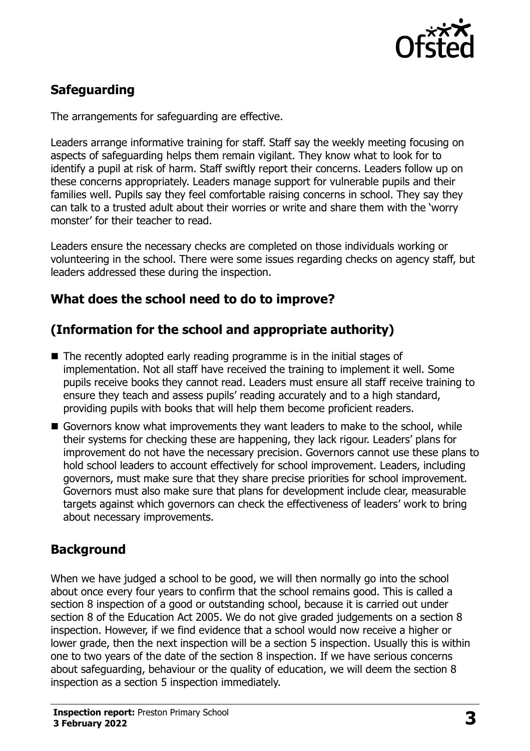

# **Safeguarding**

The arrangements for safeguarding are effective.

Leaders arrange informative training for staff. Staff say the weekly meeting focusing on aspects of safeguarding helps them remain vigilant. They know what to look for to identify a pupil at risk of harm. Staff swiftly report their concerns. Leaders follow up on these concerns appropriately. Leaders manage support for vulnerable pupils and their families well. Pupils say they feel comfortable raising concerns in school. They say they can talk to a trusted adult about their worries or write and share them with the 'worry monster' for their teacher to read.

Leaders ensure the necessary checks are completed on those individuals working or volunteering in the school. There were some issues regarding checks on agency staff, but leaders addressed these during the inspection.

### **What does the school need to do to improve?**

# **(Information for the school and appropriate authority)**

- $\blacksquare$  The recently adopted early reading programme is in the initial stages of implementation. Not all staff have received the training to implement it well. Some pupils receive books they cannot read. Leaders must ensure all staff receive training to ensure they teach and assess pupils' reading accurately and to a high standard, providing pupils with books that will help them become proficient readers.
- Governors know what improvements they want leaders to make to the school, while their systems for checking these are happening, they lack rigour. Leaders' plans for improvement do not have the necessary precision. Governors cannot use these plans to hold school leaders to account effectively for school improvement. Leaders, including governors, must make sure that they share precise priorities for school improvement. Governors must also make sure that plans for development include clear, measurable targets against which governors can check the effectiveness of leaders' work to bring about necessary improvements.

### **Background**

When we have judged a school to be good, we will then normally go into the school about once every four years to confirm that the school remains good. This is called a section 8 inspection of a good or outstanding school, because it is carried out under section 8 of the Education Act 2005. We do not give graded judgements on a section 8 inspection. However, if we find evidence that a school would now receive a higher or lower grade, then the next inspection will be a section 5 inspection. Usually this is within one to two years of the date of the section 8 inspection. If we have serious concerns about safeguarding, behaviour or the quality of education, we will deem the section 8 inspection as a section 5 inspection immediately.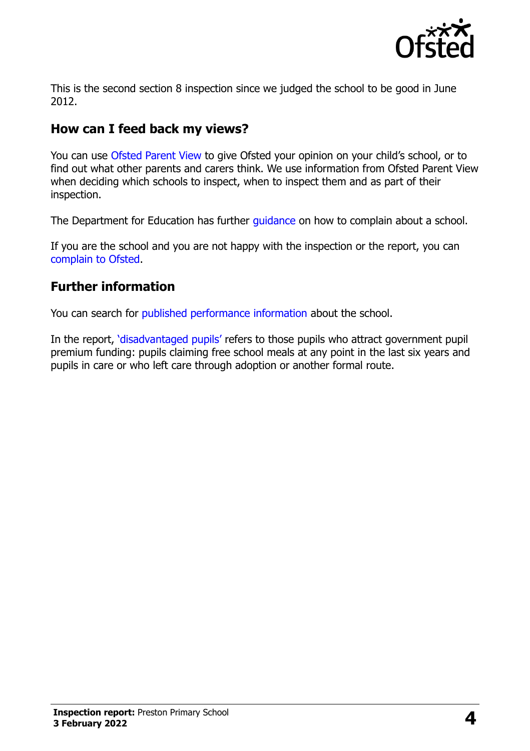

This is the second section 8 inspection since we judged the school to be good in June 2012.

## **How can I feed back my views?**

You can use [Ofsted Parent View](https://parentview.ofsted.gov.uk/) to give Ofsted your opinion on your child's school, or to find out what other parents and carers think. We use information from Ofsted Parent View when deciding which schools to inspect, when to inspect them and as part of their inspection.

The Department for Education has further quidance on how to complain about a school.

If you are the school and you are not happy with the inspection or the report, you can [complain to Ofsted.](https://www.gov.uk/complain-ofsted-report)

#### **Further information**

You can search for [published performance information](http://www.compare-school-performance.service.gov.uk/) about the school.

In the report, '[disadvantaged pupils](http://www.gov.uk/guidance/pupil-premium-information-for-schools-and-alternative-provision-settings)' refers to those pupils who attract government pupil premium funding: pupils claiming free school meals at any point in the last six years and pupils in care or who left care through adoption or another formal route.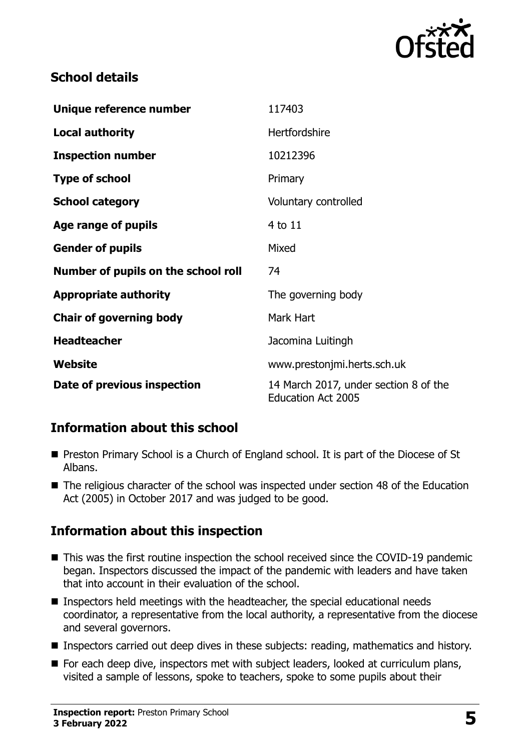

#### **School details**

| Unique reference number             | 117403                                                             |
|-------------------------------------|--------------------------------------------------------------------|
| <b>Local authority</b>              | <b>Hertfordshire</b>                                               |
| <b>Inspection number</b>            | 10212396                                                           |
| <b>Type of school</b>               | Primary                                                            |
| <b>School category</b>              | Voluntary controlled                                               |
| Age range of pupils                 | 4 to 11                                                            |
| <b>Gender of pupils</b>             | Mixed                                                              |
| Number of pupils on the school roll | 74                                                                 |
| <b>Appropriate authority</b>        | The governing body                                                 |
| <b>Chair of governing body</b>      | Mark Hart                                                          |
| <b>Headteacher</b>                  | Jacomina Luitingh                                                  |
| Website                             | www.prestonjmi.herts.sch.uk                                        |
| Date of previous inspection         | 14 March 2017, under section 8 of the<br><b>Education Act 2005</b> |

### **Information about this school**

- **Preston Primary School is a Church of England school. It is part of the Diocese of St** Albans.
- The religious character of the school was inspected under section 48 of the Education Act (2005) in October 2017 and was judged to be good.

### **Information about this inspection**

- This was the first routine inspection the school received since the COVID-19 pandemic began. Inspectors discussed the impact of the pandemic with leaders and have taken that into account in their evaluation of the school.
- Inspectors held meetings with the headteacher, the special educational needs coordinator, a representative from the local authority, a representative from the diocese and several governors.
- **Inspectors carried out deep dives in these subjects: reading, mathematics and history.**
- $\blacksquare$  For each deep dive, inspectors met with subject leaders, looked at curriculum plans, visited a sample of lessons, spoke to teachers, spoke to some pupils about their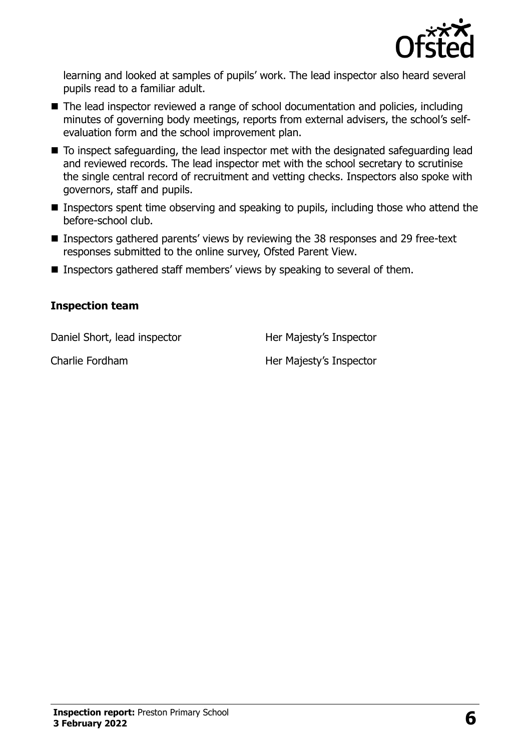

learning and looked at samples of pupils' work. The lead inspector also heard several pupils read to a familiar adult.

- The lead inspector reviewed a range of school documentation and policies, including minutes of governing body meetings, reports from external advisers, the school's selfevaluation form and the school improvement plan.
- To inspect safeguarding, the lead inspector met with the designated safeguarding lead and reviewed records. The lead inspector met with the school secretary to scrutinise the single central record of recruitment and vetting checks. Inspectors also spoke with governors, staff and pupils.
- **Inspectors spent time observing and speaking to pupils, including those who attend the** before-school club.
- Inspectors gathered parents' views by reviewing the 38 responses and 29 free-text responses submitted to the online survey, Ofsted Parent View.
- Inspectors gathered staff members' views by speaking to several of them.

#### **Inspection team**

Daniel Short, lead inspector **Her Majesty's Inspector** 

Charlie Fordham Her Majesty's Inspector